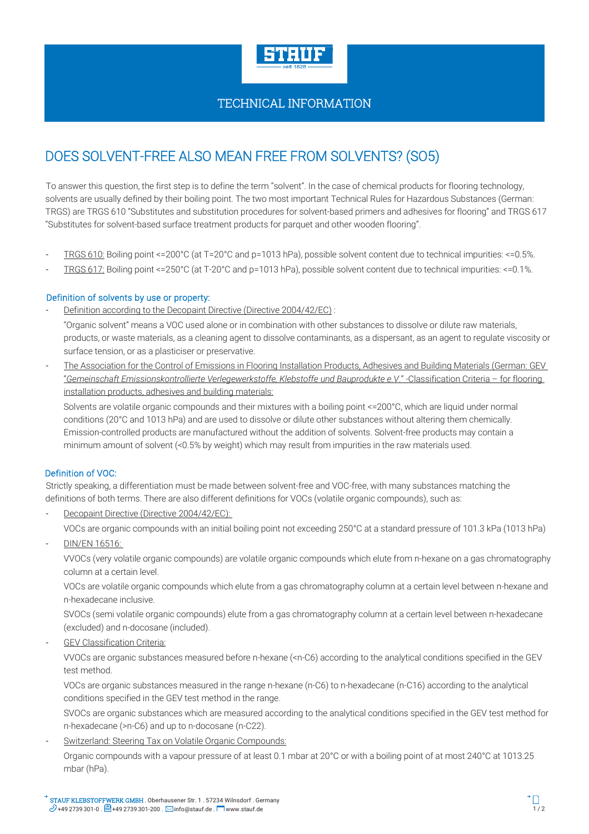

# TECHNICAL INFORMATION

# DOES SOLVENT-FREE ALSO MEAN FREE FROM SOLVENTS? (SO5)

To answer this question, the first step is to define the term "solvent". In the case of chemical products for flooring technology, solvents are usually defined by their boiling point. The two most important Technical Rules for Hazardous Substances (German: TRGS) are TRGS 610 "Substitutes and substitution procedures for solvent-based primers and adhesives for flooring" and TRGS 617 "Substitutes for solvent-based surface treatment products for parquet and other wooden flooring".

- TRGS 610: Boiling point <=200°C (at T=20°C and p=1013 hPa), possible solvent content due to technical impurities: <=0.5%.
- TRGS 617: Boiling point <=250°C (at T-20°C and p=1013 hPa), possible solvent content due to technical impurities: <=0.1%.

## Definition of solvents by use or property:

Definition according to the Decopaint Directive (Directive 2004/42/EC) :

"Organic solvent" means a VOC used alone or in combination with other substances to dissolve or dilute raw materials, products, or waste materials, as a cleaning agent to dissolve contaminants, as a dispersant, as an agent to regulate viscosity or surface tension, or as a plasticiser or preservative.

- The Association for the Control of Emissions in Flooring Installation Products, Adhesives and Building Materials (German: GEV "*Gemeinschaft Emissionskontrollierte Verlegewerkstoffe, Klebstoffe und Bauprodukte e.V*." -Classification Criteria – for flooring installation products, adhesives and building materials:

Solvents are volatile organic compounds and their mixtures with a boiling point <=200°C, which are liquid under normal conditions (20°C and 1013 hPa) and are used to dissolve or dilute other substances without altering them chemically. Emission-controlled products are manufactured without the addition of solvents. Solvent-free products may contain a minimum amount of solvent (<0.5% by weight) which may result from impurities in the raw materials used.

## Definition of VOC:

Strictly speaking, a differentiation must be made between solvent-free and VOC-free, with many substances matching the definitions of both terms. There are also different definitions for VOCs (volatile organic compounds), such as:

Decopaint Directive (Directive 2004/42/EC):

VOCs are organic compounds with an initial boiling point not exceeding 250°C at a standard pressure of 101.3 kPa (1013 hPa)

- DIN/EN 16516:

VVOCs (very volatile organic compounds) are volatile organic compounds which elute from n-hexane on a gas chromatography column at a certain level.

VOCs are volatile organic compounds which elute from a gas chromatography column at a certain level between n-hexane and n-hexadecane inclusive.

SVOCs (semi volatile organic compounds) elute from a gas chromatography column at a certain level between n-hexadecane (excluded) and n-docosane (included).

GEV Classification Criteria:

VVOCs are organic substances measured before n-hexane (<n-C6) according to the analytical conditions specified in the GEV test method.

VOCs are organic substances measured in the range n-hexane (n-C6) to n-hexadecane (n-C16) according to the analytical conditions specified in the GEV test method in the range.

SVOCs are organic substances which are measured according to the analytical conditions specified in the GEV test method for n-hexadecane (>n-C6) and up to n-docosane (n-C22).

Switzerland: Steering Tax on Volatile Organic Compounds:

Organic compounds with a vapour pressure of at least 0.1 mbar at 20°C or with a boiling point of at most 240°C at 1013.25 mbar (hPa).